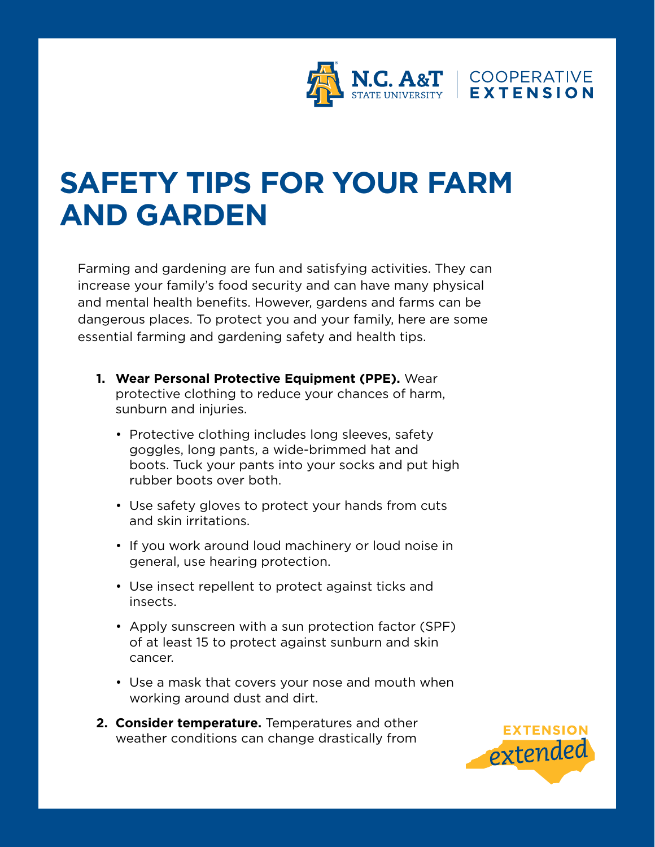

## **SAFETY TIPS FOR YOUR FARM AND GARDEN**

Farming and gardening are fun and satisfying activities. They can increase your family's food security and can have many physical and mental health benefits. However, gardens and farms can be dangerous places. To protect you and your family, here are some essential farming and gardening safety and health tips.

- **1. Wear Personal Protective Equipment (PPE).** Wear protective clothing to reduce your chances of harm, sunburn and injuries.
	- Protective clothing includes long sleeves, safety goggles, long pants, a wide-brimmed hat and boots. Tuck your pants into your socks and put high rubber boots over both.
	- Use safety gloves to protect your hands from cuts and skin irritations.
	- If you work around loud machinery or loud noise in general, use hearing protection.
	- Use insect repellent to protect against ticks and insects.
	- Apply sunscreen with a sun protection factor (SPF) of at least 15 to protect against sunburn and skin cancer.
	- Use a mask that covers your nose and mouth when working around dust and dirt.
- **2. Consider temperature.** Temperatures and other weather conditions can change drastically from

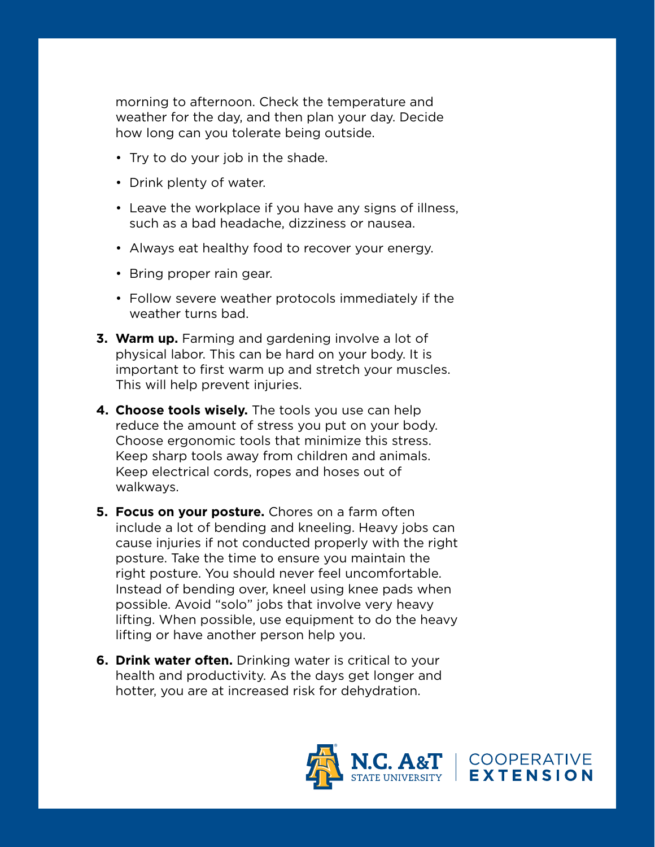morning to afternoon. Check the temperature and weather for the day, and then plan your day. Decide how long can you tolerate being outside.

- Try to do your job in the shade.
- Drink plenty of water.
- Leave the workplace if you have any signs of illness, such as a bad headache, dizziness or nausea.
- Always eat healthy food to recover your energy.
- Bring proper rain gear.
- Follow severe weather protocols immediately if the weather turns bad.
- **3. Warm up.** Farming and gardening involve a lot of physical labor. This can be hard on your body. It is important to first warm up and stretch your muscles. This will help prevent injuries.
- **4. Choose tools wisely.** The tools you use can help reduce the amount of stress you put on your body. Choose ergonomic tools that minimize this stress. Keep sharp tools away from children and animals. Keep electrical cords, ropes and hoses out of walkways.
- **5. Focus on your posture.** Chores on a farm often include a lot of bending and kneeling. Heavy jobs can cause injuries if not conducted properly with the right posture. Take the time to ensure you maintain the right posture. You should never feel uncomfortable. Instead of bending over, kneel using knee pads when possible. Avoid "solo" jobs that involve very heavy lifting. When possible, use equipment to do the heavy lifting or have another person help you.
- **6. Drink water often.** Drinking water is critical to your health and productivity. As the days get longer and hotter, you are at increased risk for dehydration.